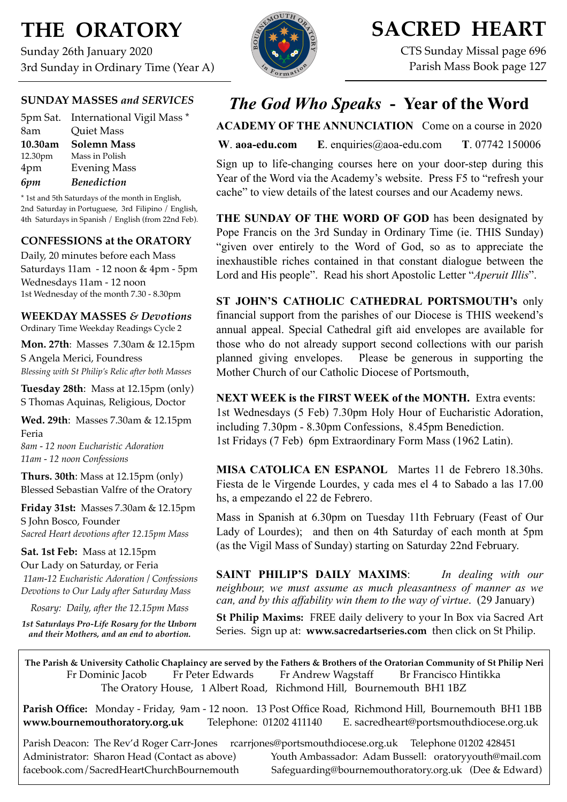# **THE ORATORY**

Sunday 26th January 2020 3rd Sunday in Ordinary Time (Year A)

## **SUNDAY MASSES** *and SERVICES*

5pm Sat. International Vigil Mass \* 8am Quiet Mass **10.30am Solemn Mass** 12.30pm Mass in Polish 4pm Evening Mass *6pm Benediction*

\* 1st and 5th Saturdays of the month in English, 2nd Saturday in Portuguese, 3rd Filipino / English, 4th Saturdays in Spanish / English (from 22nd Feb).

## **CONFESSIONS at the ORATORY**

Daily, 20 minutes before each Mass Saturdays 11am - 12 noon & 4pm - 5pm Wednesdays 11am - 12 noon 1st Wednesday of the month 7.30 - 8.30pm

## **WEEKDAY MASSES** *& Devotions*

Ordinary Time Weekday Readings Cycle 2

**Mon. 27th**: Masses 7.30am & 12.15pm S Angela Merici, Foundress *Blessing with St Philip's Relic after both Masses*

**Tuesday 28th**: Mass at 12.15pm (only) S Thomas Aquinas, Religious, Doctor

**Wed. 29th**: Masses 7.30am & 12.15pm Feria

*8am - 12 noon Eucharistic Adoration 11am - 12 noon Confessions*

**Thurs. 30th**: Mass at 12.15pm (only) Blessed Sebastian Valfre of the Oratory

**Friday 31st:** Masses 7.30am & 12.15pm S John Bosco, Founder *Sacred Heart devotions after 12.15pm Mass*

### **Sat. 1st Feb:** Mass at 12.15pm

Our Lady on Saturday, or Feria *11am-12 Eucharistic Adoration / Confessions Devotions to Our Lady after Saturday Mass*

*Rosary: Daily, after the 12.15pm Mass*

*1st Saturdays Pro-Life Rosary for the Unborn and their Mothers, and an end to abortion.*

# **SACRED HEART**

CTS Sunday Missal page 696 Parish Mass Book page 127

## *The God Who Speaks* **- Year of the Word**

**ACADEMY OF THE ANNUNCIATION** Come on a course in 2020

**W**. **[aoa-edu.com](http://aoa-edu.com) E**. [enquiries@aoa-edu.com](mailto:enquiries@aoa-edu.com) **T**. 07742 150006

Sign up to life-changing courses here on your door-step during this Year of the Word via the Academy's website. Press F5 to "refresh your cache" to view details of the latest courses and our Academy news.

**THE SUNDAY OF THE WORD OF GOD** has been designated by Pope Francis on the 3rd Sunday in Ordinary Time (ie. THIS Sunday) "given over entirely to the Word of God, so as to appreciate the inexhaustible riches contained in that constant dialogue between the Lord and His people". Read his short Apostolic Letter "*Aperuit Illis*".

**ST JOHN'S CATHOLIC CATHEDRAL PORTSMOUTH's** only financial support from the parishes of our Diocese is THIS weekend's annual appeal. Special Cathedral gift aid envelopes are available for those who do not already support second collections with our parish planned giving envelopes. Please be generous in supporting the Mother Church of our Catholic Diocese of Portsmouth,

**NEXT WEEK is the FIRST WEEK of the MONTH.** Extra events: 1st Wednesdays (5 Feb) 7.30pm Holy Hour of Eucharistic Adoration, including 7.30pm - 8.30pm Confessions, 8.45pm Benediction. 1st Fridays (7 Feb) 6pm Extraordinary Form Mass (1962 Latin).

**MISA CATOLICA EN ESPANOL** Martes 11 de Febrero 18.30hs. Fiesta de le Virgende Lourdes, y cada mes el 4 to Sabado a las 17.00 hs, a empezando el 22 de Febrero.

Mass in Spanish at 6.30pm on Tuesday 11th February (Feast of Our Lady of Lourdes); and then on 4th Saturday of each month at 5pm (as the Vigil Mass of Sunday) starting on Saturday 22nd February.

**SAINT PHILIP'S DAILY MAXIMS**: *In dealing with our neighbour, we must assume as much pleasantness of manner as we can, and by this affability win them to the way of virtue*. (29 January)

**St Philip Maxims:** FREE daily delivery to your In Box via Sacred Art Series. Sign up at: **[www.sacredartseries.com](http://www.sacredartseries.com)** then click on St Philip.

**The Parish & University Catholic Chaplaincy are served by the Fathers & Brothers of the Oratorian Community of St Philip Neri**  Fr Dominic Jacob Fr Peter Edwards Fr Andrew Wagstaff Br Francisco Hintikka The Oratory House, 1 Albert Road, Richmond Hill, Bournemouth BH1 1BZ

**Parish Office:** Monday - Friday, 9am - 12 noon. 13 Post Office Road, Richmond Hill, Bournemouth BH1 1BB **[www.bournemouthoratory.org.uk](http://www.bournemoithoratory.org.uk)** Telephone: 01202 411140 E. [sacredheart@portsmouthdiocese.org.uk](mailto:sacredheart@portsmouthdiocese.org.uk)

Parish Deacon: The Rev'd Roger Carr-Jones [rcarrjones@portsmouthdiocese.org.uk](mailto:rcarrjones@portsmouthdiocese.org.uk) Telephone 01202 428451 Administrator: Sharon Head (Contact as above) Youth Ambassador: Adam Bussell: [oratoryyouth@mail.com](http://oratoryyouth.mail.com) [facebook.com/SacredHeartChurchBournemouth](http://facebook.com/SaccredHeartChurchBournemouth) [Safeguarding@bournemouthoratory.org.uk](mailto:safeguarding@bournemouthoratory.org.uk) (Dee & Edward)